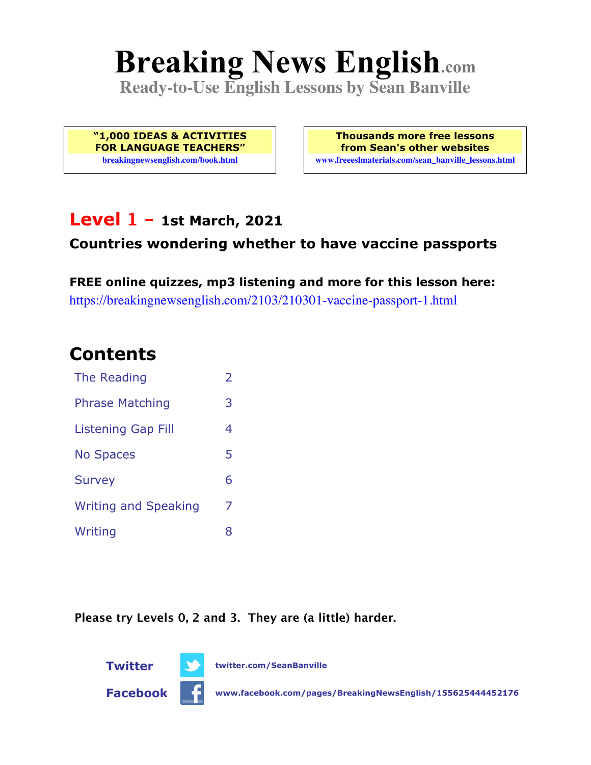# **Breaking News English.com**

**Ready-to-Use English Lessons by Sean Banville**

**"1,000 IDEAS & ACTIVITIES FOR LANGUAGE TEACHERS" breakingnewsenglish.com/book.html**

**Thousands more free lessons from Sean's other websites www.freeeslmaterials.com/sean\_banville\_lessons.html**

### **Level 1 - 1st March, 2021**

#### **Countries wondering whether to have vaccine passports**

**FREE online quizzes, mp3 listening and more for this lesson here:** https://breakingnewsenglish.com/2103/210301-vaccine-passport-1.html

# **Contents**

| The Reading                 | $\overline{2}$ |
|-----------------------------|----------------|
| <b>Phrase Matching</b>      | 3              |
| <b>Listening Gap Fill</b>   | 4              |
| <b>No Spaces</b>            | 5              |
| <b>Survey</b>               | 6              |
| <b>Writing and Speaking</b> | 7              |
| Writing                     | 8              |

**Please try Levels 0, 2 and 3. They are (a little) harder.**

**Twitter twitter.com/SeanBanville Facebook www.facebook.com/pages/BreakingNewsEnglish/155625444452176**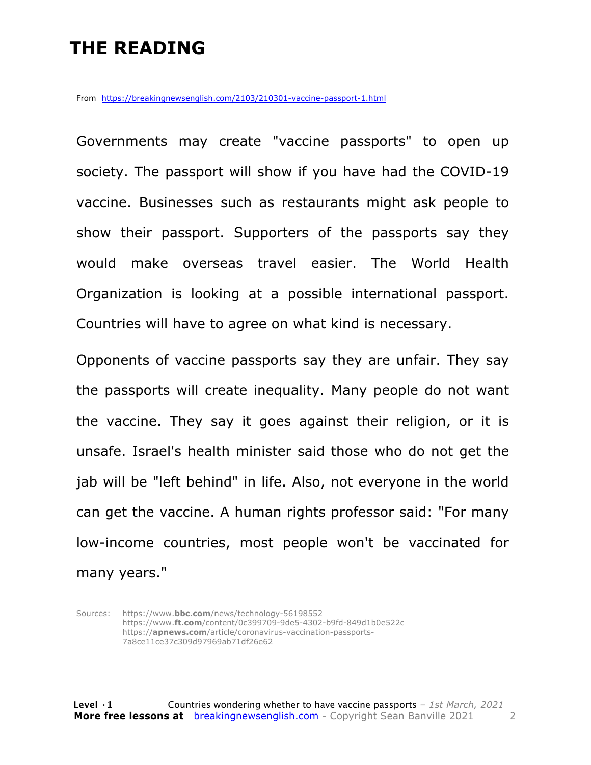### **THE READING**

From https://breakingnewsenglish.com/2103/210301-vaccine-passport-1.html

Governments may create "vaccine passports" to open up society. The passport will show if you have had the COVID-19 vaccine. Businesses such as restaurants might ask people to show their passport. Supporters of the passports say they would make overseas travel easier. The World Health Organization is looking at a possible international passport. Countries will have to agree on what kind is necessary.

Opponents of vaccine passports say they are unfair. They say the passports will create inequality. Many people do not want the vaccine. They say it goes against their religion, or it is unsafe. Israel's health minister said those who do not get the jab will be "left behind" in life. Also, not everyone in the world can get the vaccine. A human rights professor said: "For many low-income countries, most people won't be vaccinated for many years."

Sources: https://www.**bbc.com**/news/technology-56198552 https://www.**ft.com**/content/0c399709-9de5-4302-b9fd-849d1b0e522c https://**apnews.com**/article/coronavirus-vaccination-passports-7a8ce11ce37c309d97969ab71df26e62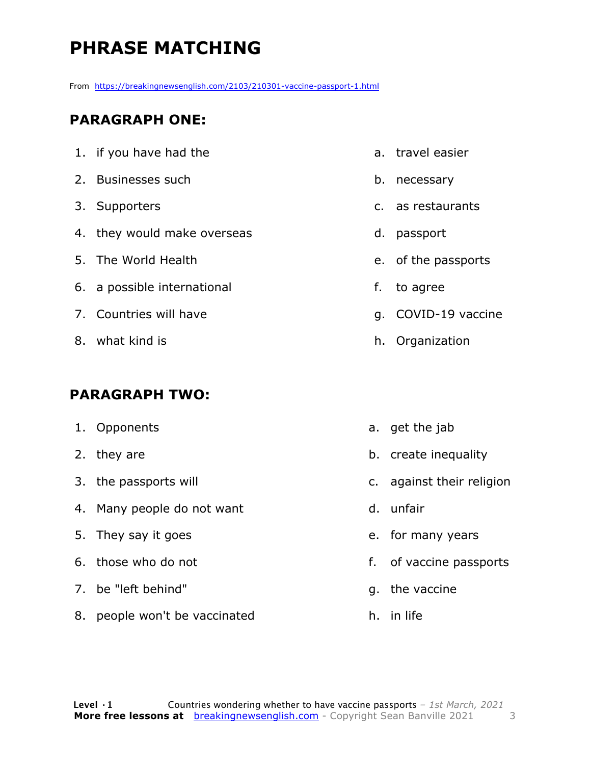# **PHRASE MATCHING**

From https://breakingnewsenglish.com/2103/210301-vaccine-passport-1.html

#### **PARAGRAPH ONE:**

| 1. if you have had the      |    | a. trav  |
|-----------------------------|----|----------|
| 2. Businesses such          | b. | nec      |
| 3. Supporters               |    | c. as r  |
| 4. they would make overseas | d. | pass     |
| 5. The World Health         |    | e. of th |
| 6. a possible international | f. | to a     |
| 7. Countries will have      |    | q. COV   |
| 8. what kind is             | h. | Org      |

#### **PARAGRAPH TWO:**

| 1. Opponents                |
|-----------------------------|
| 2. they are                 |
| 3. the passports will       |
| 4. Many people do not want  |
| 5. They say it goes         |
| $\epsilon$ those who do not |

- 6. those who do not
- 7. be "left behind"
- 8. people won't be vaccinated
- el easier
- essary
- estaurants
- sport
- he passports
- igree
- /ID-19 vaccine
- anization
- a. get the jab
- b. create inequality
- c. against their religion
- d. unfair
- e. for many years
- f. of vaccine passports
- g. the vaccine
- h. in life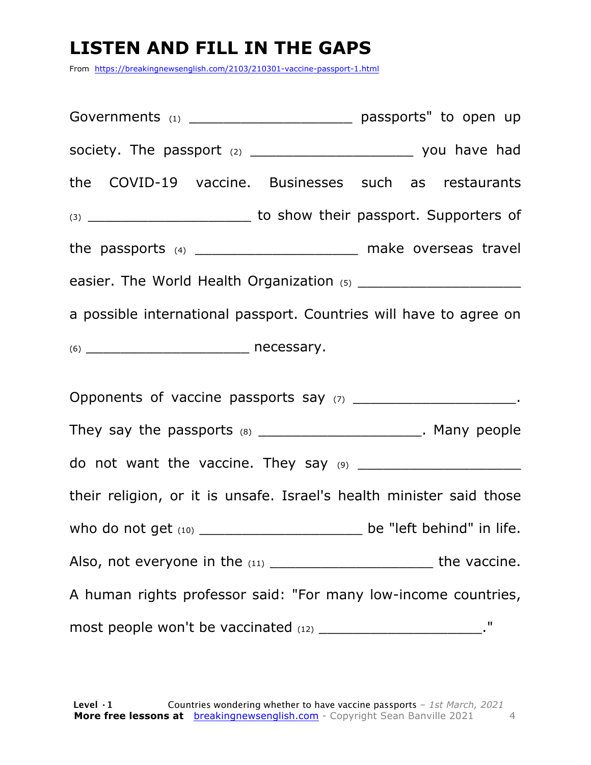# **LISTEN AND FILL IN THE GAPS**

From https://breakingnewsenglish.com/2103/210301-vaccine-passport-1.html

Governments (1) **Governments** (1) society. The passport (2) example the society. The passport (2) the COVID-19 vaccine. Businesses such as restaurants (3) \_\_\_\_\_\_\_\_\_\_\_\_\_\_\_\_\_\_\_\_\_\_\_\_\_\_\_ to show their passport. Supporters of the passports (4) \_\_\_\_\_\_\_\_\_\_\_\_\_\_\_\_\_\_\_\_\_\_\_\_ make overseas travel easier. The World Health Organization (5) a possible international passport. Countries will have to agree on  $(6)$   $\blacksquare$  necessary. Opponents of vaccine passports say (7) \_\_\_\_\_\_\_\_\_\_\_\_\_\_\_\_\_\_\_\_\_\_\_\_. They say the passports (8) They say the passports (8) do not want the vaccine. They say (9) \_\_\_\_\_\_\_\_\_\_\_\_\_\_\_\_\_\_\_ their religion, or it is unsafe. Israel's health minister said those who do not get (10) \_\_\_\_\_\_\_\_\_\_\_\_\_\_\_\_\_\_\_\_\_\_\_\_\_ be "left behind" in life. Also, not everyone in the  $(11)$  \_\_\_\_\_\_\_\_\_\_\_\_\_\_\_\_\_\_\_\_\_\_\_\_\_\_\_\_\_\_\_\_the vaccine. A human rights professor said: "For many low-income countries, most people won't be vaccinated (12) \_\_\_\_\_\_\_\_\_\_\_\_\_\_\_\_\_\_\_\_\_\_\_\_."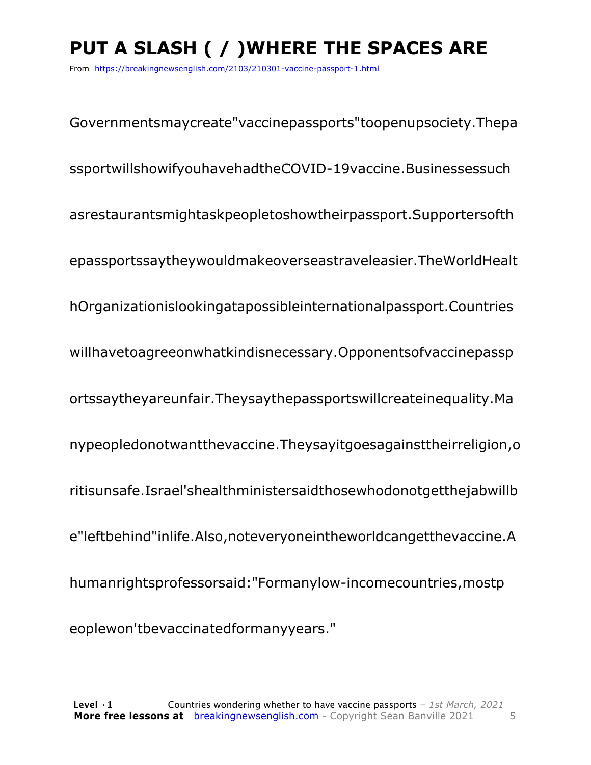# **PUT A SLASH ( / )WHERE THE SPACES ARE**

From https://breakingnewsenglish.com/2103/210301-vaccine-passport-1.html

Governmentsmaycreate"vaccinepassports"toopenupsociety.Thepa ssportwillshowifyouhavehadtheCOVID-19vaccine.Businessessuch asrestaurantsmightaskpeopletoshowtheirpassport.Supportersofth epassportssaytheywouldmakeoverseastraveleasier.TheWorldHealt hOrganizationislookingatapossibleinternationalpassport.Countries willhavetoagreeonwhatkindisnecessary.Opponentsofvaccinepassp ortssaytheyareunfair.Theysaythepassportswillcreateinequality.Ma nypeopledonotwantthevaccine.Theysayitgoesagainsttheirreligion,o ritisunsafe.Israel'shealthministersaidthosewhodonotgetthejabwillb e"leftbehind"inlife.Also,noteveryoneintheworldcangetthevaccine.A humanrightsprofessorsaid:"Formanylow-incomecountries,mostp eoplewon'tbevaccinatedformanyyears."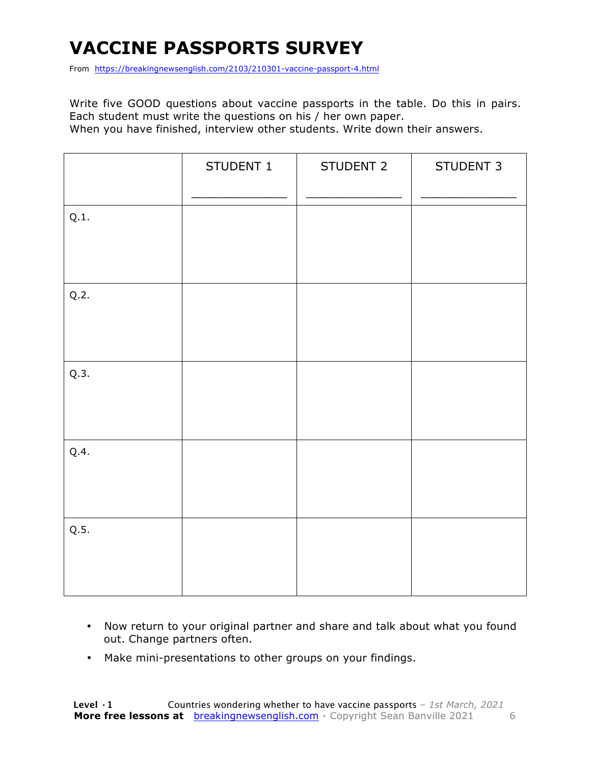# **VACCINE PASSPORTS SURVEY**

From https://breakingnewsenglish.com/2103/210301-vaccine-passport-4.html

Write five GOOD questions about vaccine passports in the table. Do this in pairs. Each student must write the questions on his / her own paper. When you have finished, interview other students. Write down their answers.

|      | STUDENT 1 | STUDENT 2 | STUDENT 3 |
|------|-----------|-----------|-----------|
| Q.1. |           |           |           |
| Q.2. |           |           |           |
| Q.3. |           |           |           |
| Q.4. |           |           |           |
| Q.5. |           |           |           |

- Now return to your original partner and share and talk about what you found out. Change partners often.
- Make mini-presentations to other groups on your findings.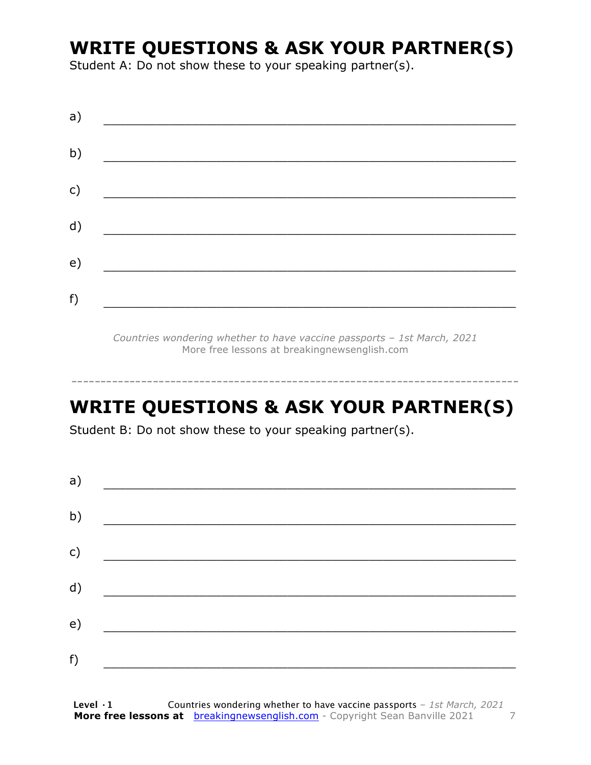### **WRITE QUESTIONS & ASK YOUR PARTNER(S)**

Student A: Do not show these to your speaking partner(s).

| a) |  |  |
|----|--|--|
| b) |  |  |
| c) |  |  |
| d) |  |  |
| e) |  |  |
| f) |  |  |
|    |  |  |

*Countries wondering whether to have vaccine passports – 1st March, 2021* More free lessons at breakingnewsenglish.com

### **WRITE QUESTIONS & ASK YOUR PARTNER(S)**

-----------------------------------------------------------------------------

Student B: Do not show these to your speaking partner(s).

| a) |  |  |
|----|--|--|
| b) |  |  |
| c) |  |  |
| d) |  |  |
| e) |  |  |
| f) |  |  |
|    |  |  |

**Level ·1** Countries wondering whether to have vaccine passports *– 1st March, 2021* **More free lessons at** breakingnewsenglish.com - Copyright Sean Banville 2021 7